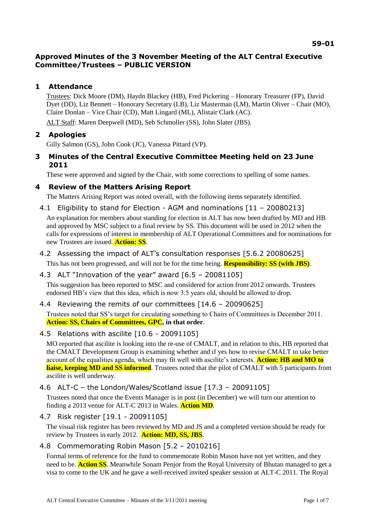# **Approved Minutes of the 3 November Meeting of the ALT Central Executive Committee/Trustees – PUBLIC VERSION**

# **1 Attendance**

Trustees: Dick Moore (DM), Haydn Blackey (HB), Fred Pickering – Honorary Treasurer (FP), David Dyet (DD), Liz Bennett – Honorary Secretary (LB), Liz Masterman (LM), Martin Oliver – Chair (MO), Claire Donlan – Vice Chair (CD), Matt Lingard (ML), Alistair Clark (AC).

ALT Staff: Maren Deepwell (MD), Seb Schmoller (SS), John Slater (JBS).

# **2 Apologies**

Gilly Salmon (GS), John Cook (JC), Vanessa Pittard (VP).

**3 Minutes of the Central Executive Committee Meeting held on 23 June 2011**

These were approved and signed by the Chair, with some corrections to spelling of some names.

## **4 Review of the Matters Arising Report**

The Matters Arising Report was noted overall, with the following items separately identified.

4.1 Eligibility to stand for Election - AGM and nominations [11 – 20080213]

An explanation for members about standing for election in ALT has now been drafted by MD and HB and approved by MSC subject to a final review by SS. This document will be used in 2012 when the calls for expressions of interest in membership of ALT Operational Committees and for nominations for new Trustees are issued. **Action: SS**.

4.2 Assessing the impact of ALT's consultation responses [5.6.2 20080625]

This has not been progressed, and will not be for the time being. **Responsibility: SS (with JBS)**.

- 4.3 ALT "Innovation of the year" award [6.5 20081105] This suggestion has been reported to MSC and considered for action from 2012 onwards. Trustees endorsed HB's view that this idea, which is now 3.5 years old, should be allowed to drop*.*
- 4.4 Reviewing the remits of our committees [14.6 20090625]

Trustees noted that SS's target for circulating something to Chairs of Committees is December 2011. **Action: SS, Chairs of Committees, GPC, in that order**.

4.5 Relations with ascilite [10.6 - 20091105]

MO reported that ascilite is looking into the re-use of CMALT, and in relation to this, HB reported that the CMALT Development Group is examining whether and if yes how to revise CMALT to take better account of the equalities agenda, which may fit well with ascilite's interests. **Action: HB and MO to liaise, keeping MD and SS informed**. Trustees noted that the pilot of CMALT with 5 participants from ascilite is well underway.

4.6 ALT-C – the London/Wales/Scotland issue [17.3 – 20091105]

Trustees noted that once the Events Manager is in post (in December) we will turn our attention to finding a 2013 venue for ALT-C 2013 in Wales. **Action MD***.*

4.7 Risk register [19.1 - 20091105]

The visual risk register has been reviewed by MD and JS and a completed version should be ready for review by Trustees in early 2012. **Action: MD, SS, JBS**.

## 4.8 Commemorating Robin Mason [5.2 – 2010216]

Formal terms of reference for the fund to commemorate Robin Mason have not yet written, and they need to be. **Action SS**. Meanwhile Sonam Penjor from the Royal University of Bhutan managed to get a visa to come to the UK and he gave a well-received invited speaker session at ALT-C 2011. The Royal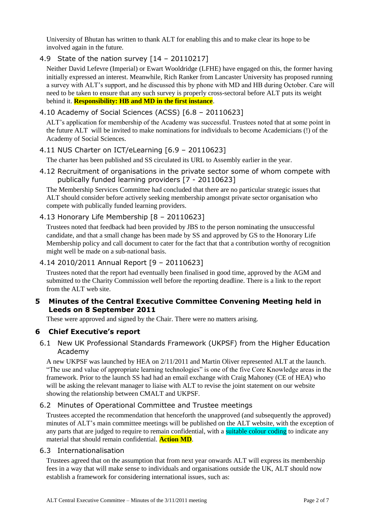University of Bhutan has written to thank ALT for enabling this and to make clear its hope to be involved again in the future.

## 4.9 State of the nation survey [14 – 20110217]

Neither David Lefevre (Imperial) or Ewart Wooldridge (LFHE) have engaged on this, the former having initially expressed an interest. Meanwhile, Rich Ranker from Lancaster University has proposed running a survey with ALT's support, and he discussed this by phone with MD and HB during October. Care will need to be taken to ensure that any such survey is properly cross-sectoral before ALT puts its weight behind it. **Responsibility: HB and MD in the first instance**.

## 4.10 Academy of Social Sciences (ACSS) [6.8 – 20110623]

ALT's application for membership of the Academy was successful. Trustees noted that at some point in the future ALT will be invited to make nominations for individuals to become Academicians (!) of the Academy of Social Sciences.

### 4.11 NUS Charter on ICT/eLearning [6.9 – 20110623]

The charter has been published and SS circulated its URL to Assembly earlier in the year.

4.12 Recruitment of organisations in the private sector some of whom compete with publically funded learning providers [7 - 20110623]

The Membership Services Committee had concluded that there are no particular strategic issues that ALT should consider before actively seeking membership amongst private sector organisation who compete with publically funded learning providers.

## 4.13 Honorary Life Membership [8 – 20110623]

Trustees noted that feedback had been provided by JBS to the person nominating the unsuccessful candidate, and that a small change has been made by SS and approved by GS to the Honorary Life Membership policy and call document to cater for the fact that that a contribution worthy of recognition might well be made on a sub-national basis.

### 4.14 2010/2011 Annual Report [9 – 20110623]

Trustees noted that the report had eventually been finalised in good time, approved by the AGM and submitted to the Charity Commission well before the reporting deadline. There is a link to the report from the ALT web site.

### **5 Minutes of the Central Executive Committee Convening Meeting held in Leeds on 8 September 2011**

These were approved and signed by the Chair. There were no matters arising.

## **6 Chief Executive's report**

6.1 New UK Professional Standards Framework (UKPSF) from the Higher Education Academy

A new UKPSF was launched by HEA on 2/11/2011 and Martin Oliver represented ALT at the launch. "The use and value of appropriate learning technologies" is one of the five Core Knowledge areas in the framework. Prior to the launch SS had had an email exchange with Craig Mahoney (CE of HEA) who will be asking the relevant manager to liaise with ALT to revise the joint statement on our website showing the relationship between CMALT and UKPSF.

### 6.2 Minutes of Operational Committee and Trustee meetings

Trustees accepted the recommendation that henceforth the unapproved (and subsequently the approved) minutes of ALT's main committee meetings will be published on the ALT website, with the exception of any parts that are judged to require to remain confidential, with a suitable colour coding to indicate any material that should remain confidential. **Action MD**.

### 6.3 Internationalisation

Trustees agreed that on the assumption that from next year onwards ALT will express its membership fees in a way that will make sense to individuals and organisations outside the UK, ALT should now establish a framework for considering international issues, such as: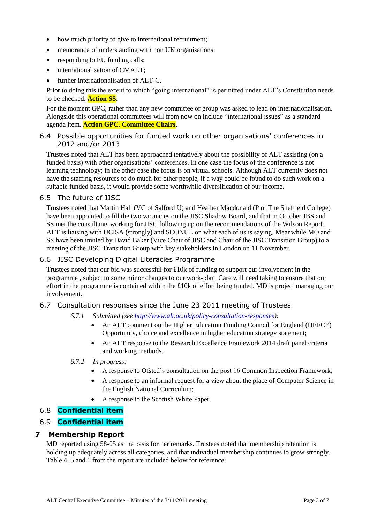- how much priority to give to international recruitment;
- memoranda of understanding with non UK organisations;
- responding to EU funding calls;
- internationalisation of CMALT;
- further internationalisation of ALT-C.

Prior to doing this the extent to which "going international" is permitted under ALT's Constitution needs to be checked. **Action SS**.

For the moment GPC, rather than any new committee or group was asked to lead on internationalisation. Alongside this operational committees will from now on include "international issues" as a standard agenda item. **Action GPC, Committee Chairs**.

### 6.4 Possible opportunities for funded work on other organisations' conferences in 2012 and/or 2013

Trustees noted that ALT has been approached tentatively about the possibility of ALT assisting (on a funded basis) with other organisations' conferences. In one case the focus of the conference is not learning technology; in the other case the focus is on virtual schools. Although ALT currently does not have the staffing resources to do much for other people, if a way could be found to do such work on a suitable funded basis, it would provide some worthwhile diversification of our income.

#### 6.5 The future of JISC

Trustees noted that Martin Hall (VC of Salford U) and Heather Macdonald (P of The Sheffield College) have been appointed to fill the two vacancies on the JISC Shadow Board, and that in October JBS and SS met the consultants working for JISC following up on the recommendations of the Wilson Report. ALT is liaising with UCISA (strongly) and SCONUL on what each of us is saying. Meanwhile MO and SS have been invited by David Baker (Vice Chair of JISC and Chair of the JISC Transition Group) to a meeting of the JISC Transition Group with key stakeholders in London on 11 November.

#### 6.6 JISC Developing Digital Literacies Programme

Trustees noted that our bid was successful for £10k of funding to support our involvement in the programme , subject to some minor changes to our work-plan. Care will need taking to ensure that our effort in the programme is contained within the £10k of effort being funded. MD is project managing our involvement.

#### 6.7 Consultation responses since the June 23 2011 meeting of Trustees

- *6.7.1 Submitted (see [http://www.alt.ac.uk/policy-consultation-responses\)](http://www.alt.ac.uk/policy-consultation-responses):*
	- An ALT comment on the Higher Education Funding Council for England (HEFCE) Opportunity, choice and excellence in higher education strategy statement;
	- An ALT response to the Research Excellence Framework 2014 draft panel criteria and working methods.
- *6.7.2 In progress:*
	- A response to Ofsted's consultation on the post 16 Common Inspection Framework;
	- A response to an informal request for a view about the place of Computer Science in the English National Curriculum;
	- A response to the Scottish White Paper.

### 6.8 **Confidential item**

## 6.9 **Confidential item**

### **7 Membership Report**

MD reported using 58-05 as the basis for her remarks. Trustees noted that membership retention is holding up adequately across all categories, and that individual membership continues to grow strongly. Table 4, 5 and 6 from the report are included below for reference: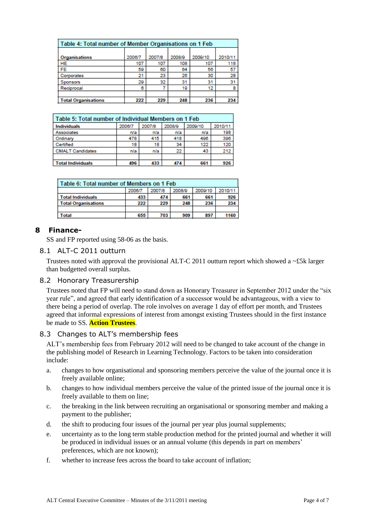| Table 4: Total number of Member Organisations on 1 Feb |        |        |        |         |         |  |  |
|--------------------------------------------------------|--------|--------|--------|---------|---------|--|--|
| <b>Organisations</b>                                   | 2006/7 | 2007/8 | 2008/9 | 2009/10 | 2010/11 |  |  |
| HE                                                     | 107    | 107    | 108    | 107     | 118     |  |  |
| FE                                                     | 59     | 60     | 64     | 56      | 57      |  |  |
| Corporates                                             | 21     | 23     | 26     | 30      | 28      |  |  |
| <b>Sponsors</b>                                        | 29     | 32     | 31     | 31      | 31      |  |  |
| Reciprocal                                             | 6      |        | 19     | 12      | 8       |  |  |
|                                                        |        |        |        |         |         |  |  |
| <b>Total Organisations</b>                             | 222    | 229    | 248    | 236     | 234     |  |  |

| Table 5: Total number of Individual Members on 1 Feb |        |        |        |         |         |  |  |  |
|------------------------------------------------------|--------|--------|--------|---------|---------|--|--|--|
| <b>Individuals</b>                                   | 2006/7 | 2007/8 | 2008/9 | 2009/10 | 2010/11 |  |  |  |
| Associates                                           | n/a    | n/a    | n/a    | n/a     | 198     |  |  |  |
| Ordinary                                             | 478    | 415    | 418    | 496     | 396     |  |  |  |
| Certified                                            | 18     | 18     | 34     | 122     | 120     |  |  |  |
| <b>CMALT Candidates</b>                              | n/a    | n/a    | 22     | 43      | 212     |  |  |  |
|                                                      |        |        |        |         |         |  |  |  |
| <b>Total Individuals</b>                             | 496    | 433    | 474    | 661     | 926     |  |  |  |

| l Table 6: Total number of Members on 1 Feb |        |        |        |         |         |  |  |
|---------------------------------------------|--------|--------|--------|---------|---------|--|--|
|                                             | 2006/7 | 2007/8 | 2008/9 | 2009/10 | 2010/11 |  |  |
| <b>Total Individuals</b>                    | 433    | 474    | 661    | 661     | 926     |  |  |
| <b>Total Organisations</b>                  | 222    | 229    | 248    | 236     | 234     |  |  |
|                                             |        |        |        |         |         |  |  |
| <b>Total</b>                                | 655    | 703    | 909    | 897     | 1160    |  |  |

## **8 Finance-**

SS and FP reported using 58-06 as the basis.

### 8.1 ALT-C 2011 outturn

Trustees noted with approval the provisional ALT-C 2011 outturn report which showed a  $\sim$ £5k larger than budgetted overall surplus.

### 8.2 Honorary Treasurership

Trustees noted that FP will need to stand down as Honorary Treasurer in September 2012 under the "six year rule", and agreed that early identification of a successor would be advantageous, with a view to there being a period of overlap. The role involves on average 1 day of effort per month, and Trustees agreed that informal expressions of interest from amongst existing Trustees should in the first instance be made to SS. **Action Trustees**.

### 8.3 Changes to ALT's membership fees

ALT's membership fees from February 2012 will need to be changed to take account of the change in the publishing model of Research in Learning Technology. Factors to be taken into consideration include:

- a. changes to how organisational and sponsoring members perceive the value of the journal once it is freely available online;
- b. changes to how individual members perceive the value of the printed issue of the journal once it is freely available to them on line;
- c. the breaking in the link between recruiting an organisational or sponsoring member and making a payment to the publisher;
- d. the shift to producing four issues of the journal per year plus journal supplements;
- e. uncertainty as to the long term stable production method for the printed journal and whether it will be produced in individual issues or an annual volume (this depends in part on members' preferences, which are not known);
- f. whether to increase fees across the board to take account of inflation;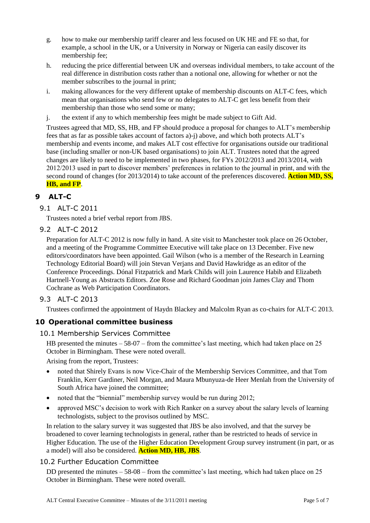- g. how to make our membership tariff clearer and less focused on UK HE and FE so that, for example, a school in the UK, or a University in Norway or Nigeria can easily discover its membership fee;
- h. reducing the price differential between UK and overseas individual members, to take account of the real difference in distribution costs rather than a notional one, allowing for whether or not the member subscribes to the journal in print;
- i. making allowances for the very different uptake of membership discounts on ALT-C fees, which mean that organisations who send few or no delegates to ALT-C get less benefit from their membership than those who send some or many;
- j. the extent if any to which membership fees might be made subject to Gift Aid.

Trustees agreed that MD, SS, HB, and FP should produce a proposal for changes to ALT's membership fees that as far as possible takes account of factors a)-j) above, and which both protects ALT's membership and events income, and makes ALT cost effective for organisations outside our traditional base (including smaller or non-UK based organisations) to join ALT. Trustees noted that the agreed changes are likely to need to be implemented in two phases, for FYs 2012/2013 and 2013/2014, with 2012/2013 used in part to discover members' preferences in relation to the journal in print, and with the second round of changes (for 2013/2014) to take account of the preferences discovered. **Action MD, SS, HB, and FP**.

# **9 ALT-C**

9.1 ALT-C 2011

Trustees noted a brief verbal report from JBS.

9.2 ALT-C 2012

Preparation for ALT-C 2012 is now fully in hand. A site visit to Manchester took place on 26 October, and a meeting of the Programme Committee Executive will take place on 13 December. Five new editors/coordinators have been appointed. Gail Wilson (who is a member of the Research in Learning Technology Editorial Board) will join Stevan Verjans and David Hawkridge as an editor of the Conference Proceedings. Dónal Fitzpatrick and Mark Childs will join Laurence Habib and Elizabeth Hartnell-Young as Abstracts Editors. Zoe Rose and Richard Goodman join James Clay and Thom Cochrane as Web Participation Coordinators.

### 9.3 ALT-C 2013

Trustees confirmed the appointment of Haydn Blackey and Malcolm Ryan as co-chairs for ALT-C 2013.

### **10 Operational committee business**

#### 10.1 Membership Services Committee

HB presented the minutes – 58-07 – from the committee's last meeting, which had taken place on 25 October in Birmingham. These were noted overall.

Arising from the report, Trustees:

- noted that Shirely Evans is now Vice-Chair of the Membership Services Committee, and that Tom Franklin, Kerr Gardiner, Neil Morgan, and Maura Mbunyuza-de Heer Menlah from the University of South Africa have joined the committee;
- noted that the "biennial" membership survey would be run during 2012;
- approved MSC's decision to work with Rich Ranker on a survey about the salary levels of learning technologists, subject to the provisos outlined by MSC.

In relation to the salary survey it was suggested that JBS be also involved, and that the survey be broadened to cover learning technologists in general, rather than be restricted to heads of service in Higher Education. The use of the Higher Education Development Group survey instrument (in part, or as a model) will also be considered. **Action MD, HB, JBS**.

### 10.2 Further Education Committee

DD presented the minutes – 58-08 – from the committee's last meeting, which had taken place on 25 October in Birmingham. These were noted overall.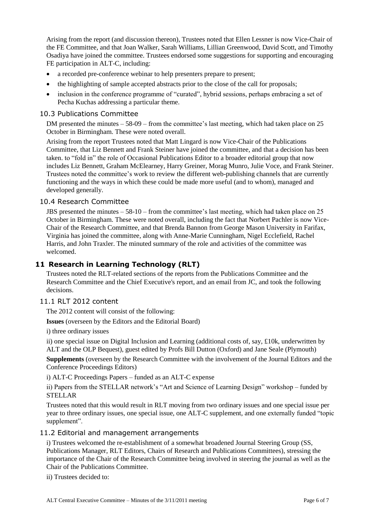Arising from the report (and discussion thereon), Trustees noted that Ellen Lessner is now Vice-Chair of the FE Committee, and that Joan Walker, Sarah Williams, Lillian Greenwood, David Scott, and Timothy Osadiya have joined the committee. Trustees endorsed some suggestions for supporting and encouraging FE participation in ALT-C, including:

- a recorded pre-conference webinar to help presenters prepare to present;
- the highlighting of sample accepted abstracts prior to the close of the call for proposals;
- inclusion in the conference programme of "curated", hybrid sessions, perhaps embracing a set of Pecha Kuchas addressing a particular theme.

#### 10.3 Publications Committee

DM presented the minutes – 58-09 – from the committee's last meeting, which had taken place on 25 October in Birmingham. These were noted overall.

Arising from the report Trustees noted that Matt Lingard is now Vice-Chair of the Publications Committee, that Liz Bennett and Frank Steiner have joined the committee, and that a decision has been taken. to "fold in" the role of Occasional Publications Editor to a broader editorial group that now includes Liz Bennett, Graham McElearney, Harry Greiner, Morag Munro, Julie Voce, and Frank Steiner. Trustees noted the committee's work to review the different web-publishing channels that are currently functioning and the ways in which these could be made more useful (and to whom), managed and developed generally.

### 10.4 Research Committee

JBS presented the minutes – 58-10 – from the committee's last meeting, which had taken place on 25 October in Birmingham. These were noted overall, including the fact that Norbert Pachler is now Vice-Chair of the Research Committee, and that Brenda Bannon from George Mason University in Farifax, Virginia has joined the committee, along with Anne-Marie Cunningham, Nigel Ecclefield, Rachel Harris, and John Traxler. The minuted summary of the role and activities of the committee was welcomed.

## **11 Research in Learning Technology (RLT)**

Trustees noted the RLT-related sections of the reports from the Publications Committee and the Research Committee and the Chief Executive's report, and an email from JC, and took the following decisions.

### 11.1 RLT 2012 content

The 2012 content will consist of the following:

**Issues** (overseen by the Editors and the Editorial Board)

i) three ordinary issues

ii) one special issue on Digital Inclusion and Learning (additional costs of, say,  $\pounds$ 10k, underwritten by ALT and the OLP Bequest), guest edited by Profs Bill Dutton (Oxford) and Jane Seale (Plymouth)

**Supplements** (overseen by the Research Committee with the involvement of the Journal Editors and the Conference Proceedings Editors)

i) ALT-C Proceedings Papers – funded as an ALT-C expense

ii) Papers from the STELLAR network's "Art and Science of Learning Design" workshop – funded by STELLAR

Trustees noted that this would result in RLT moving from two ordinary issues and one special issue per year to three ordinary issues, one special issue, one ALT-C supplement, and one externally funded "topic supplement".

#### 11.2 Editorial and management arrangements

i) Trustees welcomed the re-establishment of a somewhat broadened Journal Steering Group (SS, Publications Manager, RLT Editors, Chairs of Research and Publications Committees), stressing the importance of the Chair of the Research Committee being involved in steering the journal as well as the Chair of the Publications Committee.

ii) Trustees decided to: